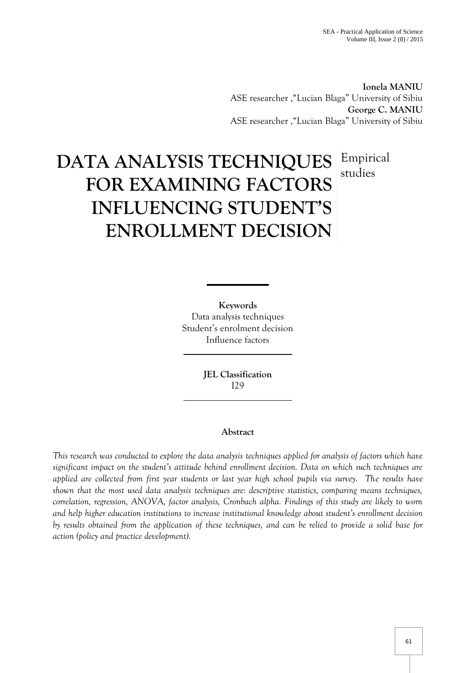**Ionela MANIU** ASE researcher ,"Lucian Blaga" University of Sibiu **George C. MANIU** ASE researcher ,"Lucian Blaga" University of Sibiu

# **DATA ANALYSIS TECHNIQUES** Empirical **FOR EXAMINING FACTORS INFLUENCING STUDENT'S ENROLLMENT DECISION** studies

**Keywords** Data analysis techniques Student's enrolment decision Influence factors

> **JEL Classification** I29

## **Abstract**

*This research was conducted to explore the data analysis techniques applied for analysis of factors which have significant impact on the student's attitude behind enrollment decision. Data on which such techniques are applied are collected from first year students or last year high school pupils via survey. The results have shown that the most used data analysis techniques are: descriptive statistics, comparing means techniques, correlation, regression, ANOVA, factor analysis, Cronbach alpha. Findings of this study are likely to worn and help higher education institutions to increase institutional knowledge about student's enrollment decision by results obtained from the application of these techniques, and can be relied to provide a solid base for action (policy and practice development).*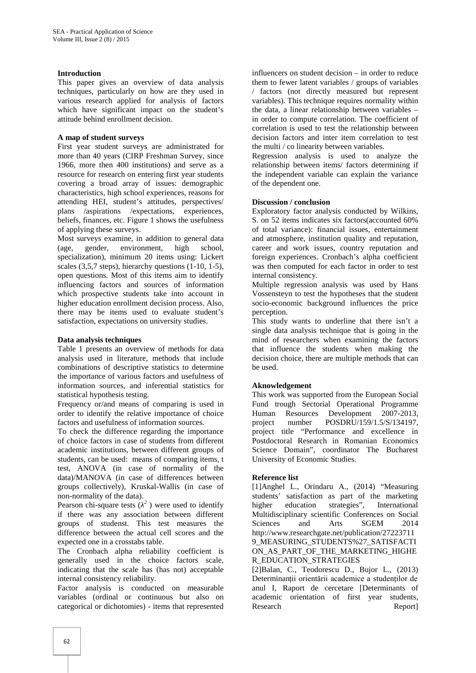#### **Introduction**

This paper gives an overview of data analysis techniques, particularly on how are they used in various research applied for analysis of factors which have significant impact on the student's attitude behind enrollment decision.

#### **A map of student surveys**

First year student surveys are administrated for more than 40 years (CIRP Freshman Survey, since 1966, more then 400 institutions) and serve as a resource for research on entering first year students covering a broad array of issues: demographic characteristics, high school experiences, reasons for attending HEI, student's attitudes, perspectives/ plans /aspirations /expectations, experiences, beliefs, finances, etc. Figure 1 shows the usefulness of applying these surveys.

Most surveys examine, in addition to general data (age, gender, environment, high school, specialization), minimum 20 items using: Lickert scales (3,5,7 steps), hierarchy questions (1-10, 1-5), open questions. Most of this items aim to identify influencing factors and sources of information which prospective students take into account in higher education enrollment decision process. Also, there may be items used to evaluate student's satisfaction, expectations on university studies.

#### **Data analysis techniques**

Table 1 presents an overview of methods for data analysis used in literature, methods that include combinations of descriptive statistics to determine the importance of various factors and usefulness of information sources, and inferential statistics for statistical hypothesis testing.

Frequency or/and means of comparing is used in order to identify the relative importance of choice factors and usefulness of information sources.

To check the difference regarding the importance of choice factors in case of students from different academic institutions, between different groups of students, can be used: means of comparing items, t test, ANOVA (in case of normality of the data)/MANOVA (in case of differences between groups collectively), Kruskal-Wallis (in case of non-normality of the data).

Pearson chi-square tests  $\left( \begin{array}{c} 2 \\ 2 \end{array} \right)$  were used to identify higher if there was any association between different groups of studenst. This test measures the difference between the actual cell scores and the expected one in a crosstabs table.

The Cronbach alpha reliability coefficient is generally used in the choice factors scale, indicating that the scale has (has not) acceptable internal consistency reliability.

Factor analysis is conducted on measurable variables (ordinal or continuous but also on categorical or dichotomies) - items that represented

influencers on student decision – in order to reduce them to fewer latent variables / groups of variables / factors (not directly measured but represent variables). This technique requires normality within the data, a linear relationship between variables – in order to compute correlation. The coefficient of correlation is used to test the relationship between decision factors and inter item correlation to test the multi / co linearity between variables.

Regression analysis is used to analyze the relationship between items/ factors determining if the independent variable can explain the variance of the dependent one.

### **Discussion / conclusion**

Exploratory factor analysis conducted by Wilkins, S. on 52 items indicates six factors(accounted 60% of total variance): financial issues, entertainment and atmosphere, institution quality and reputation, career and work issues, country reputation and foreign experiences. Cronbach's alpha coefficient was then computed for each factor in order to test internal consistency.

Multiple regression analysis was used by Hans Vossensteyn to test the hypotheses that the student socio-economic background influences the price perception.

This study wants to underline that there isn't a single data analysis technique that is going in the mind of researchers when examining the factors that influence the students when making the decision choice, there are multiple methods that can be used.

### **Aknowledgement**

This work was supported from the European Social Fund trough Sectorial Operational Programme Human Resources Development 2007-2013, project number POSDRU/159/1.5/S/134197, project title "Performance and excellence in Postdoctoral Research in Romanian Economics Science Domain", coordinator The Bucharest University of Economic Studies.

### **Reference list**

[1]Anghel L., Orindaru A., (2014) "Measuring students' satisfaction as part of the marketing<br>higher education strategies", International education strategies", International Multidisciplinary scientific Conferences on Social Sciences and Arts SGEM 2014 http://www.researchgate.net/publication/27223711 9\_MEASURING\_STUDENTS%27\_SATISFACTI ON\_AS\_PART\_OF\_THE\_MARKETING\_HIGHE R\_EDUCATION\_STRATEGIES

[2]Balan, C., Teodorescu D., Bujor L., (2013) Determinanții orientării academice a studenților de anul I, Raport de cercetare [Determinants of academic orientation of first year students, Research Report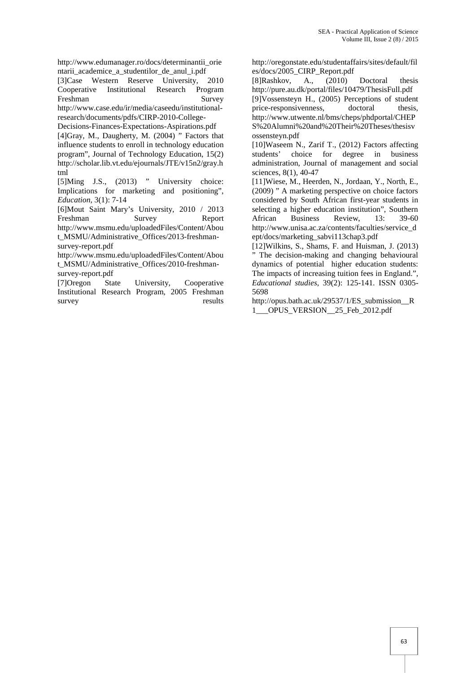http://www.edumanager.ro/docs/determinantii\_orie ntarii academice a studentilor de anul i.pdf

[3]Case Western Reserve University, 2010 Cooperative Institutional Research Program Freshman Survey http://www.case.edu/ir/media/caseedu/institutionalresearch/documents/pdfs/CIRP-2010-College-

Decisions-Finances-Expectations-Aspirations.pdf

[4]Gray, M., Daugherty, M. (2004) " Factors that influence students to enroll in technology education program", Journal of Technology Education, 15(2) http://scholar.lib.vt.edu/ejournals/JTE/v15n2/gray.h tml

[5]Ming J.S., (2013) " University choice: Implications for marketing and positioning", *Education*, 3(1): 7-14

[6]Mout Saint Mary's University, 2010 / 2013 Freshman Survey Report http://www.msmu.edu/uploadedFiles/Content/Abou

t\_MSMU/Administrative\_Offices/2013-freshman survey-report.pdf

http://www.msmu.edu/uploadedFiles/Content/Abou t\_MSMU/Administrative\_Offices/2010-freshmansurvey-report.pdf

[7]Oregon State University, Cooperative Institutional Research Program, 2005 Freshman survey results http://oregonstate.edu/studentaffairs/sites/default/fil es/docs/2005\_CIRP\_Report.pdf

[8]Rashkov, A., (2010) Doctoral thesis http://pure.au.dk/portal/files/10479/ThesisFull.pdf [9]Vossensteyn H., (2005) Perceptions of student price-responsivenness, doctoral thesis, http://www.utwente.nl/bms/cheps/phdportal/CHEP S%20Alumni%20and%20Their%20Theses/thesisv ossensteyn.pdf

[10]Waseem N., Zarif T., (2012) Factors affecting students' choice for degree in business administration, Journal of management and social sciences, 8(1), 40-47

[11]Wiese, M., Heerden, N., Jordaan, Y., North, E., (2009) " A marketing perspective on choice factors considered by South African first-year students in selecting a higher education institution", Southern African Business Review, 13: 39-60 http://www.unisa.ac.za/contents/faculties/service\_d ept/docs/marketing\_sabvi113chap3.pdf

[12]Wilkins, S., Shams, F. and Huisman, J. (2013) " The decision-making and changing behavioural dynamics of potential higher education students: The impacts of increasing tuition fees in England.", *Educational studies*, 39(2): 125-141. ISSN 0305- 5698

http://opus.bath.ac.uk/29537/1/ES\_submission\_R 1\_\_\_OPUS\_VERSION\_\_25\_Feb\_2012.pdf